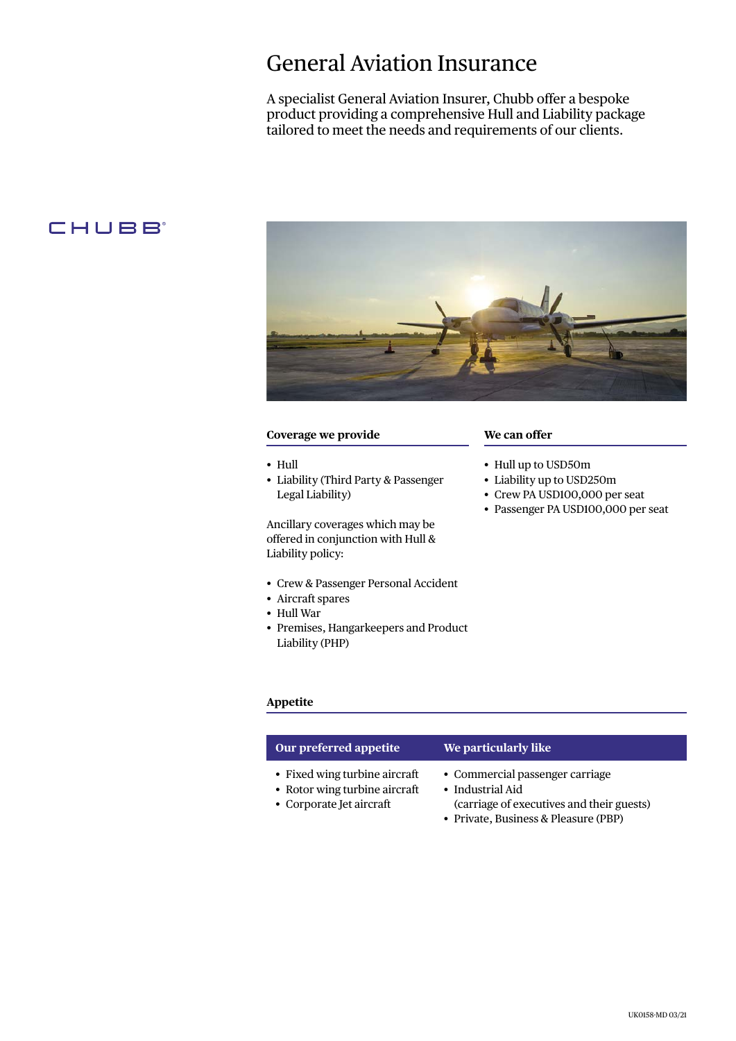# General Aviation Insurance

A specialist General Aviation Insurer, Chubb offer a bespoke product providing a comprehensive Hull and Liability package tailored to meet the needs and requirements of our clients.

# CHUBB<sup>®</sup>



# **Coverage we provide**

- Hull
- Liability (Third Party & Passenger Legal Liability)

Ancillary coverages which may be offered in conjunction with Hull & Liability policy:

- Crew & Passenger Personal Accident
- Aircraft spares
- Hull War
- Premises, Hangarkeepers and Product Liability (PHP)

# **We can offer**

- Hull up to USD50m
- Liability up to USD250m
- Crew PA USD100,000 per seat
- Passenger PA USD100,000 per seat

# **Appetite**

| Our preferred appetite                                                                     | We particularly like                                                                                                                     |
|--------------------------------------------------------------------------------------------|------------------------------------------------------------------------------------------------------------------------------------------|
| • Fixed wing turbine aircraft<br>• Rotor wing turbine aircraft<br>• Corporate Jet aircraft | • Commercial passenger carriage<br>• Industrial Aid<br>(carriage of executives and their guests)<br>• Private, Business & Pleasure (PBP) |